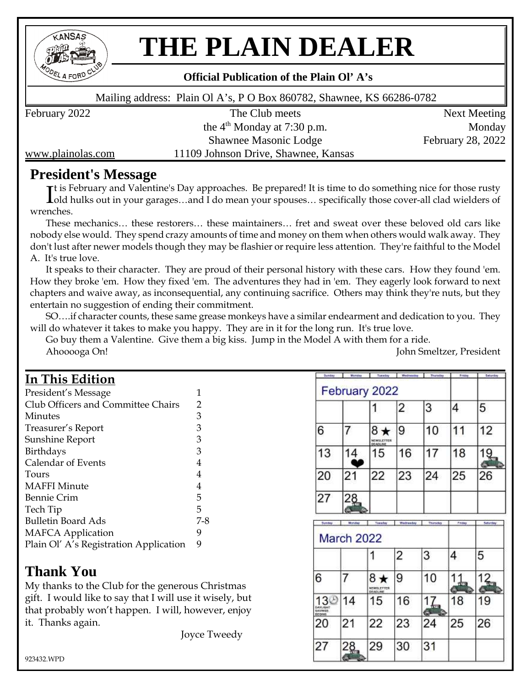

## **THE PLAIN DEALER**

#### **Official Publication of the Plain Ol' A's**

Mailing address: Plain Ol A's, P O Box 860782, Shawnee, KS 66286-0782

the  $4<sup>th</sup>$  Monday at 7:30 p.m. Monday Shawnee Masonic Lodge February 28, 2022 www.plainolas.com 11109 Johnson Drive, Shawnee, Kansas

February 2022 The Club meets Next Meeting

#### **President's Message**

It is February and Valentine's Day approaches. Be prepared! It is time to do something nice for those rusty<br>I old hulks out in your garages...and I do mean your spouses... specifically those cover-all clad wielders of old hulks out in your garages…and I do mean your spouses… specifically those cover-all clad wielders of wrenches.

These mechanics… these restorers… these maintainers… fret and sweat over these beloved old cars like nobody else would. They spend crazy amounts of time and money on them when others would walk away. They don't lust after newer models though they may be flashier or require less attention. They're faithful to the Model A. It's true love.

It speaks to their character. They are proud of their personal history with these cars. How they found 'em. How they broke 'em. How they fixed 'em. The adventures they had in 'em. They eagerly look forward to next chapters and waive away, as inconsequential, any continuing sacrifice. Others may think they're nuts, but they entertain no suggestion of ending their commitment.

SO….if character counts, these same grease monkeys have a similar endearment and dedication to you. They will do whatever it takes to make you happy. They are in it for the long run. It's true love.

Go buy them a Valentine. Give them a big kiss. Jump in the Model A with them for a ride. Ahooooga On! John Smeltzer, President

#### **In This Edition**

| President's Message                    | 1   |
|----------------------------------------|-----|
| Club Officers and Committee Chairs     | 2   |
| Minutes                                | 3   |
| Treasurer's Report                     | 3   |
| Sunshine Report                        | 3   |
| <b>Birthdays</b>                       | 3   |
| Calendar of Events                     | 4   |
| Tours                                  | 4   |
| <b>MAFFI Minute</b>                    | 4   |
| <b>Bennie Crim</b>                     | 5   |
| Tech Tip                               | 5   |
| <b>Bulletin Board Ads</b>              | 7-8 |
| <b>MAFCA Application</b>               | 9   |
| Plain Ol' A's Registration Application | 9   |

#### **Thank You**

My thanks to the Club for the generous Christmas gift. I would like to say that I will use it wisely, but that probably won't happen. I will, however, enjoy it. Thanks again.

Joyce Tweedy

|                                                        | Monday                      | Tuesday                            | Wednesday | Thursday       | Friday     | Sebarday |
|--------------------------------------------------------|-----------------------------|------------------------------------|-----------|----------------|------------|----------|
|                                                        |                             | February 2022                      |           |                |            |          |
|                                                        |                             | 1                                  | 2         | 3              | 4          | 5        |
| 6                                                      |                             | 8 ★<br>MEWSLETTER<br><b>ADLINE</b> | 9         | 10             | 11         | 12       |
| 13                                                     | 4                           | 15                                 | 16        | 17             | 18         |          |
| 20                                                     | 21                          | 22                                 | 23        | 24             | 25         | 26       |
| 27                                                     | 28                          |                                    |           |                |            |          |
|                                                        |                             |                                    |           |                |            |          |
|                                                        |                             |                                    |           |                |            |          |
| Sunday                                                 | Monday<br><b>March 2022</b> | Tionaday                           | Wednesday | Thursday       | Pader      | Seturday |
|                                                        |                             |                                    | 2         | 3              | 4          | 5        |
|                                                        | 7                           | 8 ★<br>NEWSLETTER                  | 9         | 10             | <u>11,</u> | $12 -$   |
|                                                        | 14                          | DE ADI INE<br>15                   | 16        | $\frac{17}{2}$ | 18         | 19       |
| 6<br>DAYLIGHT<br><b>BAVIMOS</b><br><b>BEGINS</b><br>20 | 21                          | 22                                 | 23        | Θ<br>24        | 25         | 26       |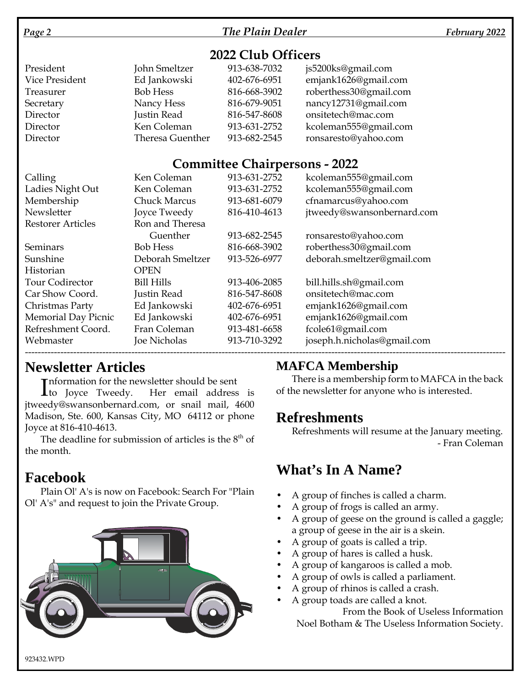#### *Page 2 The Plain Dealer February 2022*

#### **2022 Club Officers**

| President      | John Smeltzer    | 913-638-7032 | js5200ks@gmail.com     |
|----------------|------------------|--------------|------------------------|
| Vice President | Ed Jankowski     | 402-676-6951 | emjank1626@gmail.com   |
| Treasurer      | <b>Bob Hess</b>  | 816-668-3902 | roberthess30@gmail.com |
| Secretary      | Nancy Hess       | 816-679-9051 | nancy12731@gmail.com   |
| Director       | Justin Read      | 816-547-8608 | onsitetech@mac.com     |
| Director       | Ken Coleman      | 913-631-2752 | kcoleman555@gmail.com  |
| Director       | Theresa Guenther | 913-682-2545 | ronsaresto@yahoo.com   |

#### **Committee Chairpersons - 2022**

| Calling                  | Ken Coleman         | 913-631-2752 | kcoleman555@gmail.com       |
|--------------------------|---------------------|--------------|-----------------------------|
| Ladies Night Out         | Ken Coleman         | 913-631-2752 | kcoleman555@gmail.com       |
| Membership               | <b>Chuck Marcus</b> | 913-681-6079 | cfnamarcus@yahoo.com        |
| Newsletter               | Joyce Tweedy        | 816-410-4613 | jtweedy@swansonbernard.com  |
| <b>Restorer Articles</b> | Ron and Theresa     |              |                             |
|                          | Guenther            | 913-682-2545 | ronsaresto@yahoo.com        |
| Seminars                 | <b>Bob Hess</b>     | 816-668-3902 | roberthess30@gmail.com      |
| Sunshine                 | Deborah Smeltzer    | 913-526-6977 | deborah.smeltzer@gmail.com  |
| Historian                | <b>OPEN</b>         |              |                             |
| Tour Codirector          | <b>Bill Hills</b>   | 913-406-2085 | bill.hills.sh@gmail.com     |
| Car Show Coord.          | Justin Read         | 816-547-8608 | onsitetech@mac.com          |
| Christmas Party          | Ed Jankowski        | 402-676-6951 | emjank1626@gmail.com        |
| Memorial Day Picnic      | Ed Jankowski        | 402-676-6951 | emjank1626@gmail.com        |
| Refreshment Coord.       | Fran Coleman        | 913-481-6658 | fcole61@gmail.com           |
| Webmaster                | Joe Nicholas        | 913-710-3292 | joseph.h.nicholas@gmail.com |
|                          |                     |              |                             |

#### **Newsletter Articles**

**Theormation for the newsletter should be sent** 

Information for the newsletter should be sent<br>
to Joyce Tweedy. Her email address is jtweedy@swansonbernard.com, or snail mail, 4600 Madison, Ste. 600, Kansas City, MO 64112 or phone Joyce at 816-410-4613.

The deadline for submission of articles is the  $8<sup>th</sup>$  of the month.

### **Facebook**

Plain Ol' A's is now on Facebook: Search For "Plain Ol' A's" and request to join the Private Group.



#### **MAFCA Membership**

There is a membership form to MAFCA in the back of the newsletter for anyone who is interested.

### **Refreshments**

Refreshments will resume at the January meeting. - Fran Coleman

### **What's In A Name?**

- A group of finches is called a charm.
- A group of frogs is called an army.
- A group of geese on the ground is called a gaggle; a group of geese in the air is a skein.
- A group of goats is called a trip.
- A group of hares is called a husk.
- A group of kangaroos is called a mob.
- A group of owls is called a parliament.
- A group of rhinos is called a crash.
- A group toads are called a knot.

From the Book of Useless Information Noel Botham & The Useless Information Society.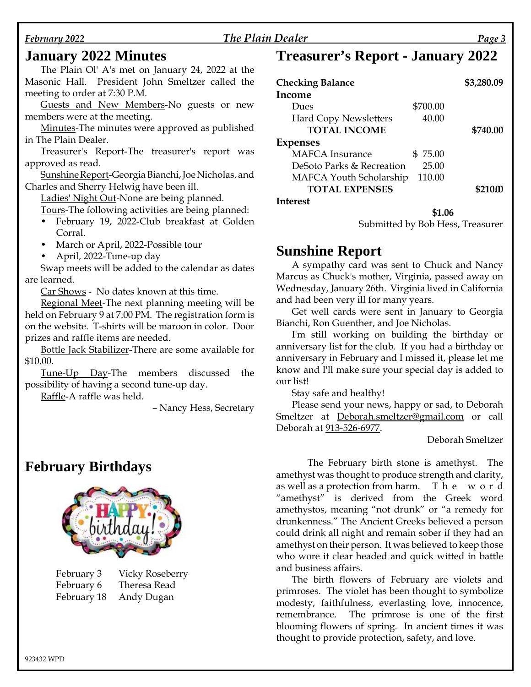#### *February 2022 The Plain Dealer Page 3*

#### **January 2022 Minutes**

The Plain Ol' A's met on January 24, 2022 at the Masonic Hall. President John Smeltzer called the meeting to order at 7:30 P.M.

Guests and New Members-No guests or new members were at the meeting.

Minutes-The minutes were approved as published in The Plain Dealer.

Treasurer's Report-The treasurer's report was approved as read.

Sunshine Report-Georgia Bianchi, Joe Nicholas, and Charles and Sherry Helwig have been ill.

Ladies' Night Out-None are being planned.

Tours-The following activities are being planned:

- February 19, 2022-Club breakfast at Golden Corral.
- March or April, 2022-Possible tour
- April, 2022-Tune-up day

Swap meets will be added to the calendar as dates are learned.

Car Shows - No dates known at this time.

Regional Meet-The next planning meeting will be held on February 9 at 7:00 PM. The registration form is on the website. T-shirts will be maroon in color. Door prizes and raffle items are needed.

Bottle Jack Stabilizer-There are some available for \$10.00.

Tune-Up Day-The members discussed the possibility of having a second tune-up day.

Raffle-A raffle was held.

– Nancy Hess, Secretary

#### **February Birthdays**



| February 3  | Vicky Roseberry |
|-------------|-----------------|
| February 6  | Theresa Read    |
| February 18 | Andy Dugan      |

#### **Treasurer's Report - January 2022**

| <b>Checking Balance</b>      |          | \$3,280.09         |
|------------------------------|----------|--------------------|
| Income                       |          |                    |
| Dues                         | \$700.00 |                    |
| <b>Hard Copy Newsletters</b> | 40.00    |                    |
| <b>TOTAL INCOME</b>          |          | \$740.00           |
| Expenses                     |          |                    |
| <b>MAFCA</b> Insurance       | \$75.00  |                    |
| DeSoto Parks & Recreation    | 25.00    |                    |
| MAFCA Youth Scholarship      | 110.00   |                    |
| <b>TOTAL EXPENSES</b>        |          | \$210 <sub>m</sub> |
| Interest                     |          |                    |

Submitted by Bob Hess, Treasurer

**\$1.06**

#### **Sunshine Report**

A sympathy card was sent to Chuck and Nancy Marcus as Chuck's mother, Virginia, passed away on Wednesday, January 26th. Virginia lived in California and had been very ill for many years.

Get well cards were sent in January to Georgia Bianchi, Ron Guenther, and Joe Nicholas.

I'm still working on building the birthday or anniversary list for the club. If you had a birthday or anniversary in February and I missed it, please let me know and I'll make sure your special day is added to our list!

Stay safe and healthy!

Please send your news, happy or sad, to Deborah Smeltzer at Deborah.smeltzer@gmail.com or call Deborah at 913-526-6977.

#### Deborah Smeltzer

The February birth stone is amethyst. The amethyst was thought to produce strength and clarity, as well as a protection from harm. T h e w o r d "amethyst" is derived from the Greek word amethystos, meaning "not drunk" or "a remedy for drunkenness." The Ancient Greeks believed a person could drink all night and remain sober if they had an amethyst on their person. It was believed to keep those who wore it clear headed and quick witted in battle and business affairs.

The birth flowers of February are violets and primroses. The violet has been thought to symbolize modesty, faithfulness, everlasting love, innocence, remembrance. The primrose is one of the first blooming flowers of spring. In ancient times it was thought to provide protection, safety, and love.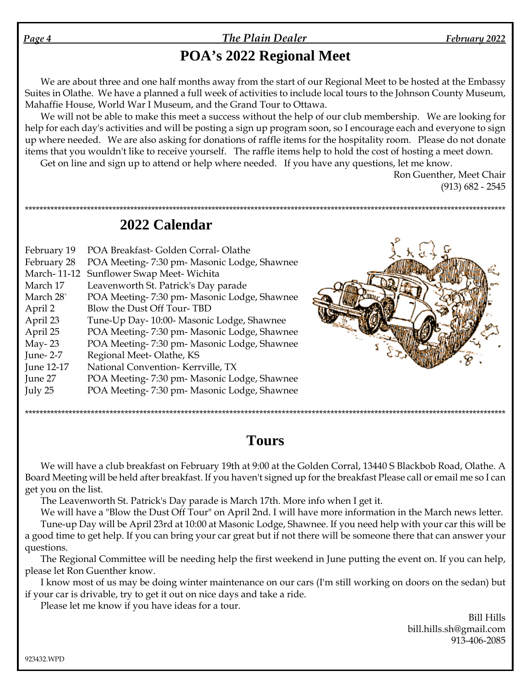### **POA's 2022 Regional Meet**

We are about three and one half months away from the start of our Regional Meet to be hosted at the Embassy Suites in Olathe. We have a planned a full week of activities to include local tours to the Johnson County Museum, Mahaffie House, World War I Museum, and the Grand Tour to Ottawa.

We will not be able to make this meet a success without the help of our club membership. We are looking for help for each day's activities and will be posting a sign up program soon, so I encourage each and everyone to sign up where needed. We are also asking for donations of raffle items for the hospitality room. Please do not donate items that you wouldn't like to receive yourself. The raffle items help to hold the cost of hosting a meet down. Get on line and sign up to attend or help where needed. If you have any questions, let me know.

\*\*\*\*\*\*\*\*\*\*\*\*\*\*\*\*\*\*\*\*\*\*\*\*\*\*\*\*\*\*\*\*\*\*\*\*\*\*\*\*\*\*\*\*\*\*\*\*\*\*\*\*\*\*\*\*\*\*\*\*\*\*\*\*\*\*\*\*\*\*\*\*\*\*\*\*\*\*\*\*\*\*\*\*\*\*\*\*\*\*\*\*\*\*\*\*\*\*\*\*\*\*\*\*\*\*\*\*\*\*\*\*\*\*\*\*\*\*\*\*\*\*\*\*\*\*\*\*\*\*\*\*\*

Ron Guenther, Meet Chair (913) 682 - 2545

**2022 Calendar**

| February 19 | POA Breakfast-Golden Corral-Olathe          |  |
|-------------|---------------------------------------------|--|
| February 28 | POA Meeting-7:30 pm- Masonic Lodge, Shawnee |  |
| March-11-12 | Sunflower Swap Meet-Wichita                 |  |
| March 17    | Leavenworth St. Patrick's Day parade        |  |
| March 28    | POA Meeting-7:30 pm- Masonic Lodge, Shawnee |  |
| April 2     | Blow the Dust Off Tour-TBD                  |  |
| April 23    | Tune-Up Day-10:00- Masonic Lodge, Shawnee   |  |
| April 25    | POA Meeting-7:30 pm- Masonic Lodge, Shawnee |  |
| May- $23$   | POA Meeting-7:30 pm- Masonic Lodge, Shawnee |  |
| June-2-7    | Regional Meet-Olathe, KS                    |  |
| June 12-17  | National Convention-Kerrville, TX           |  |
| June 27     | POA Meeting-7:30 pm- Masonic Lodge, Shawnee |  |
| July 25     | POA Meeting-7:30 pm- Masonic Lodge, Shawnee |  |
|             |                                             |  |

### **Tours**

\*\*\*\*\*\*\*\*\*\*\*\*\*\*\*\*\*\*\*\*\*\*\*\*\*\*\*\*\*\*\*\*\*\*\*\*\*\*\*\*\*\*\*\*\*\*\*\*\*\*\*\*\*\*\*\*\*\*\*\*\*\*\*\*\*\*\*\*\*\*\*\*\*\*\*\*\*\*\*\*\*\*\*\*\*\*\*\*\*\*\*\*\*\*\*\*\*\*\*\*\*\*\*\*\*\*\*\*\*\*\*\*\*\*\*\*\*\*\*\*\*\*\*\*\*\*\*\*\*\*

We will have a club breakfast on February 19th at 9:00 at the Golden Corral, 13440 S Blackbob Road, Olathe. A Board Meeting will be held after breakfast. If you haven't signed up for the breakfast Please call or email me so I can get you on the list.

The Leavenworth St. Patrick's Day parade is March 17th. More info when I get it.

We will have a "Blow the Dust Off Tour" on April 2nd. I will have more information in the March news letter. Tune-up Day will be April 23rd at 10:00 at Masonic Lodge, Shawnee. If you need help with your car this will be

a good time to get help. If you can bring your car great but if not there will be someone there that can answer your questions.

The Regional Committee will be needing help the first weekend in June putting the event on. If you can help, please let Ron Guenther know.

I know most of us may be doing winter maintenance on our cars (I'm still working on doors on the sedan) but if your car is drivable, try to get it out on nice days and take a ride.

Please let me know if you have ideas for a tour.

Bill Hills bill.hills.sh@gmail.com 913-406-2085

923432.WPD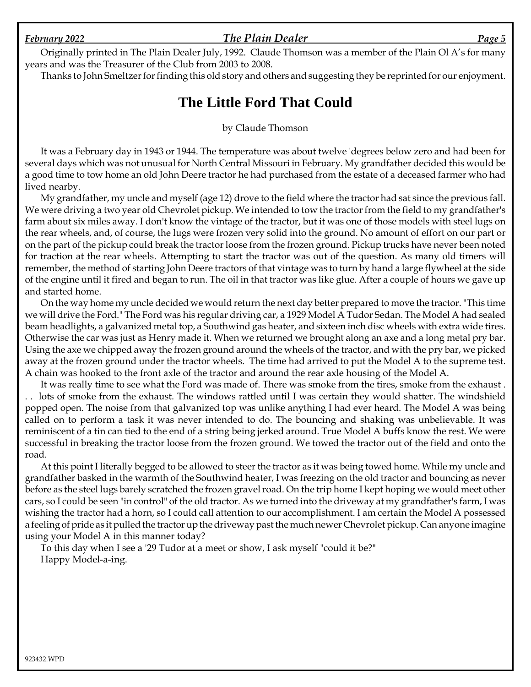#### *February 2022 The Plain Dealer Page 5*

Originally printed in The Plain Dealer July, 1992. Claude Thomson was a member of the Plain Ol A's for many years and was the Treasurer of the Club from 2003 to 2008.

Thanks to John Smeltzer for finding this old story and others and suggesting they be reprinted for our enjoyment.

#### **The Little Ford That Could**

by Claude Thomson

It was a February day in 1943 or 1944. The temperature was about twelve 'degrees below zero and had been for several days which was not unusual for North Central Missouri in February. My grandfather decided this would be a good time to tow home an old John Deere tractor he had purchased from the estate of a deceased farmer who had lived nearby.

My grandfather, my uncle and myself (age 12) drove to the field where the tractor had sat since the previous fall. We were driving a two year old Chevrolet pickup. We intended to tow the tractor from the field to my grandfather's farm about six miles away. I don't know the vintage of the tractor, but it was one of those models with steel lugs on the rear wheels, and, of course, the lugs were frozen very solid into the ground. No amount of effort on our part or on the part of the pickup could break the tractor loose from the frozen ground. Pickup trucks have never been noted for traction at the rear wheels. Attempting to start the tractor was out of the question. As many old timers will remember, the method of starting John Deere tractors of that vintage was to turn by hand a large flywheel at the side of the engine until it fired and began to run. The oil in that tractor was like glue. After a couple of hours we gave up and started home.

On the way home my uncle decided we would return the next day better prepared to move the tractor. "This time we will drive the Ford." The Ford was his regular driving car, a 1929 Model A Tudor Sedan. The Model A had sealed beam headlights, a galvanized metal top, a Southwind gas heater, and sixteen inch disc wheels with extra wide tires. Otherwise the car was just as Henry made it. When we returned we brought along an axe and a long metal pry bar. Using the axe we chipped away the frozen ground around the wheels of the tractor, and with the pry bar, we picked away at the frozen ground under the tractor wheels. The time had arrived to put the Model A to the supreme test. A chain was hooked to the front axle of the tractor and around the rear axle housing of the Model A.

It was really time to see what the Ford was made of. There was smoke from the tires, smoke from the exhaust . lots of smoke from the exhaust. The windows rattled until I was certain they would shatter. The windshield popped open. The noise from that galvanized top was unlike anything I had ever heard. The Model A was being called on to perform a task it was never intended to do. The bouncing and shaking was unbelievable. It was reminiscent of a tin can tied to the end of a string being jerked around. True Model A buffs know the rest. We were successful in breaking the tractor loose from the frozen ground. We towed the tractor out of the field and onto the road.

At this point I literally begged to be allowed to steer the tractor as it was being towed home. While my uncle and grandfather basked in the warmth of the Southwind heater, I was freezing on the old tractor and bouncing as never before as the steel lugs barely scratched the frozen gravel road. On the trip home I kept hoping we would meet other cars, so I could be seen "in control" of the old tractor. As we turned into the driveway at my grandfather's farm, I was wishing the tractor had a horn, so I could call attention to our accomplishment. I am certain the Model A possessed a feeling of pride as it pulled the tractor up the driveway past the much newer Chevrolet pickup. Can anyone imagine using your Model A in this manner today?

To this day when I see a '29 Tudor at a meet or show, I ask myself "could it be?" Happy Model-a-ing.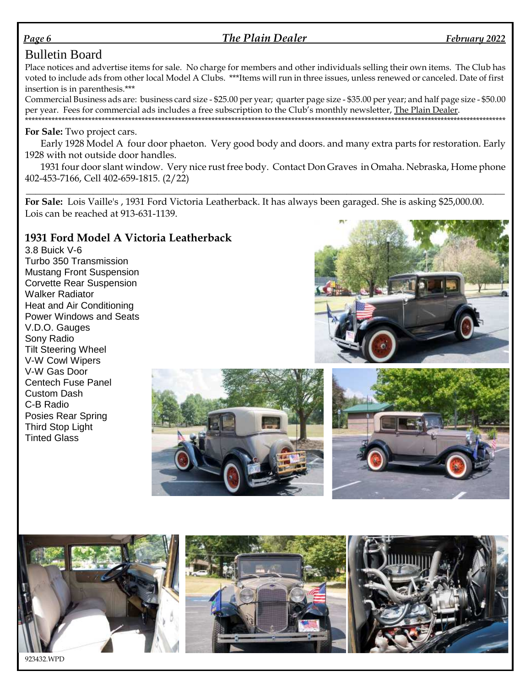#### *Page 6 The Plain Dealer February 2022*

#### Bulletin Board

Place notices and advertise items for sale. No charge for members and other individuals selling their own items. The Club has voted to include ads from other local Model A Clubs. \*\*\*Items will run in three issues, unless renewed or canceled. Date of first insertion is in parenthesis.\*\*\*

Commercial Business ads are: business card size - \$25.00 per year; quarter page size - \$35.00 per year; and half page size - \$50.00 per year. Fees for commercial ads includes a free subscription to the Club's monthly newsletter, The Plain Dealer.

\*\*\*\*\*\*\*\*\*\*\*\*\*\*\*\*\*\*\*\*\*\*\*\*\*\*\*\*\*\*\*\*\*\*\*\*\*\*\*\*\*\*\*\*\*\*\*\*\*\*\*\*\*\*\*\*\*\*\*\*\*\*\*\*\*\*\*\*\*\*\*\*\*\*\*\*\*\*\*\*\*\*\*\*\*\*\*\*\*\*\*\*\*\*\*\*\*\*\*\*\*\*\*\*\*\*\*\*\*\*\*\*\*\*\*\*\*\*\*\*\*\*\*\*\*\*\*\*\*\*\*\*\*\*\*\*\*\*\*\*\*\*\*\*\*

#### **For Sale:** Two project cars.

Early 1928 Model A four door phaeton. Very good body and doors. and many extra parts for restoration. Early 1928 with not outside door handles.

1931 four door slant window. Very nice rust free body. Contact Don Graves in Omaha. Nebraska, Home phone 402-453-7166, Cell 402-659-1815. (2/22)

**\_\_\_\_\_\_\_\_\_\_\_\_\_\_\_\_\_\_\_\_\_\_\_\_\_\_\_\_\_\_\_\_\_\_\_\_\_\_\_\_\_\_\_\_\_\_\_\_\_\_\_\_\_\_\_\_\_\_\_\_\_\_\_\_\_\_\_\_\_\_\_\_\_\_\_\_\_\_\_\_\_\_\_\_\_\_\_\_\_\_\_\_\_\_\_\_\_\_\_\_**

**For Sale:** Lois Vaille's , 1931 Ford Victoria Leatherback. It has always been garaged. She is asking \$25,000.00. Lois can be reached at 913-631-1139.

#### **1931 Ford Model A Victoria Leatherback**

3.8 Buick V-6 Turbo 350 Transmission Mustang Front Suspension Corvette Rear Suspension Walker Radiator Heat and Air Conditioning Power Windows and Seats V.D.O. Gauges Sony Radio Tilt Steering Wheel V-W Cowl Wipers V-W Gas Door Centech Fuse Panel Custom Dash C-B Radio Posies Rear Spring Third Stop Light Tinted Glass







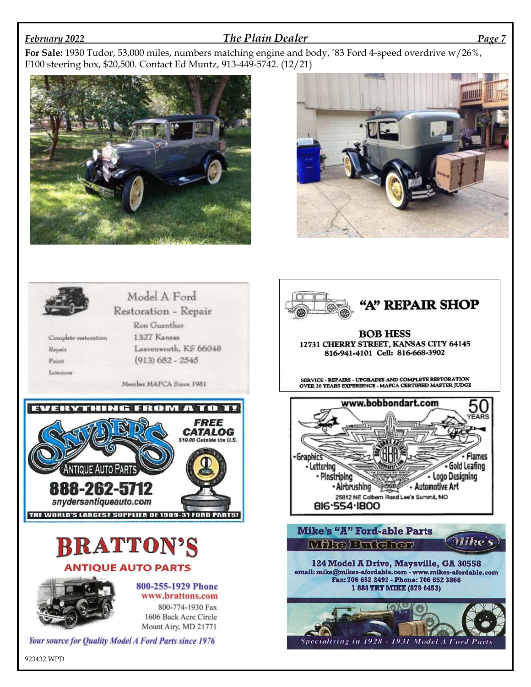#### *February 2022 The Plain Dealer Page 7*

**For Sale:** 1930 Tudor, 53,000 miles, numbers matching engine and body, '83 Ford 4-speed overdrive w/26%, F100 steering box, \$20,500. Contact Ed Muntz, 913-449-5742. (12/21)







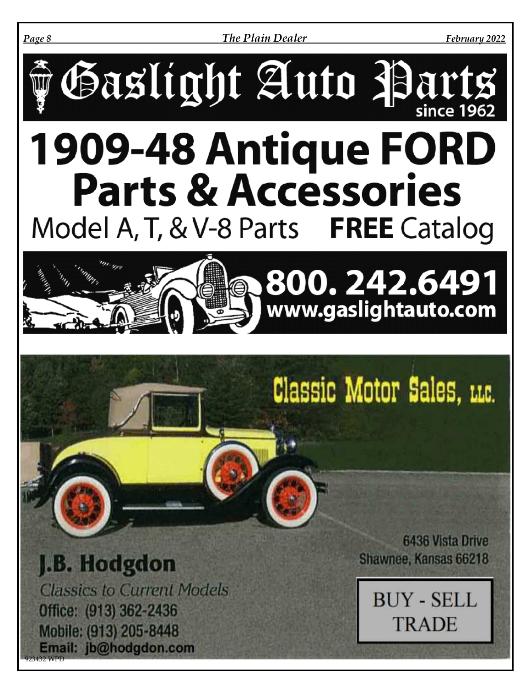*Page 8 The Plain Dealer February 2022*



# **Parts & Accessories** Model A, T, & V-8 Parts FREE Catalog



Classic Motor Sales. LLC.

J.B. Hodgdon **Classics to Current Models** Office: (913) 362-2436 Mobile: (913) 205-8448 Email: jb@hodgdon.com

923432.WPD

**6436 Vista Drive** Shawnee, Kansas 66218

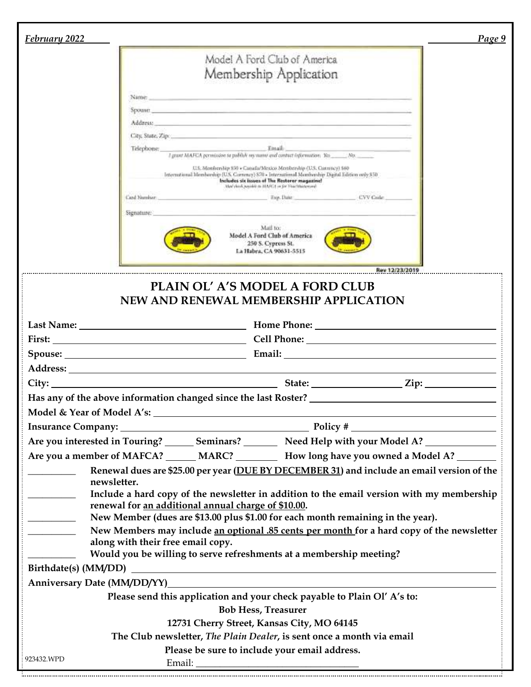| February 2022            |                                                                                                                                                                                                                                | Page 9 |
|--------------------------|--------------------------------------------------------------------------------------------------------------------------------------------------------------------------------------------------------------------------------|--------|
|                          | Model A Ford Club of America                                                                                                                                                                                                   |        |
|                          |                                                                                                                                                                                                                                |        |
|                          | Membership Application                                                                                                                                                                                                         |        |
|                          | Name:<br><u> 1989 - Andrea Andrea Maria (1989), a componente de la componente de la componente de la componente de la compo</u>                                                                                                |        |
|                          | Spoase and the company of the company of the company of the company of the company of the company of the company of the company of the company of the company of the company of the company of the company of the company of t |        |
|                          | Address: The Contract of the Contract of the Contract of the Contract of the Contract of the Contract of the Contract of the Contract of the Contract of the Contract of the Contract of the Contract of the Contract of the C |        |
|                          |                                                                                                                                                                                                                                |        |
|                          | Email:<br>Telephone:<br>I grant MAFCA permission to publish my manni and contract information. Yes _______No. ______________                                                                                                   |        |
|                          | U.S. Membership 850 + Canada/Mexico Membership (U.S. Currency) 560<br>International Membership (U.S. Cornency) 870 - International Membership Digital Edition only \$50<br>Includes six issues of The Restorer magazine!       |        |
|                          | May clock waish to MARCL in for Huchbasecord<br>Card Number:<br>Exp. Date<br>CVV Cule                                                                                                                                          |        |
|                          | Signature:                                                                                                                                                                                                                     |        |
|                          | Mail to:<br>Model A Ford Club of America<br>250 S. Cypress St.<br>La Habra, CA 90631-5515                                                                                                                                      |        |
|                          | Rev 12/23/2019                                                                                                                                                                                                                 |        |
|                          | PLAIN OL' A'S MODEL A FORD CLUB<br>NEW AND RENEWAL MEMBERSHIP APPLICATION                                                                                                                                                      |        |
|                          |                                                                                                                                                                                                                                |        |
|                          | First: Cell Phone: Cell Phone: Cell Phone: Cell Phone: Cell Phone: Cell Phone: Cell Phone: Cell Phone: Cell Phone: Cell Phone: Cell Phone: Cell Phone: Cell Phone: Cell Phone: Cell Phone: Cell Phone: Cell Phone: Cell Phone: |        |
|                          |                                                                                                                                                                                                                                |        |
|                          |                                                                                                                                                                                                                                |        |
|                          |                                                                                                                                                                                                                                |        |
|                          |                                                                                                                                                                                                                                |        |
|                          |                                                                                                                                                                                                                                |        |
|                          |                                                                                                                                                                                                                                |        |
|                          | Are you interested in Touring? _______ Seminars? _________ Need Help with your Model A? ____________                                                                                                                           |        |
|                          | Are you a member of MAFCA? ______ MARC? ___________ How long have you owned a Model A? ________                                                                                                                                |        |
|                          | Renewal dues are \$25.00 per year (DUE BY DECEMBER 31) and include an email version of the<br>newsletter.                                                                                                                      |        |
|                          | Include a hard copy of the newsletter in addition to the email version with my membership                                                                                                                                      |        |
|                          | renewal for an additional annual charge of \$10.00.                                                                                                                                                                            |        |
| $\overline{\phantom{a}}$ | New Member (dues are \$13.00 plus \$1.00 for each month remaining in the year).                                                                                                                                                |        |
|                          | New Members may include an optional .85 cents per month for a hard copy of the newsletter                                                                                                                                      |        |
|                          | along with their free email copy.<br>Would you be willing to serve refreshments at a membership meeting?                                                                                                                       |        |
|                          |                                                                                                                                                                                                                                |        |
|                          |                                                                                                                                                                                                                                |        |
|                          | Please send this application and your check payable to Plain Ol' A's to:                                                                                                                                                       |        |
|                          | <b>Bob Hess, Treasurer</b>                                                                                                                                                                                                     |        |
|                          | 12731 Cherry Street, Kansas City, MO 64145                                                                                                                                                                                     |        |
|                          | The Club newsletter, The Plain Dealer, is sent once a month via email                                                                                                                                                          |        |
|                          | Please be sure to include your email address.                                                                                                                                                                                  |        |
| 923432.WPD               |                                                                                                                                                                                                                                |        |